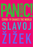# **COVID-19 SHAKES THE WORLD**  $\sqrt{2}$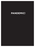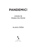# **COVID-19 Shakes the World**

# **SLAVOJ ŽIŽEK**

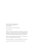All rights information: rights@orbooks.com Visit our website at www.orbooks.com First printing 2020

Published by OR Books, New York and London

© 2020 Slavoj Žižek

All rights reserved. No part of this book may be reproduced or transmitted in any form or by any means, electronic or mechanical, including photocopy, recording, or any information storage retrieval system, without permission in writing from the publisher, except brief passages for review purposes.

Library of Congress Cataloging-in-Publication Data: A catalog record for this book is available from the Library of Congress.

Typeset by Lapiz Digital Services. Printed by Bookmobile, USA, and CPI, UK.

paperback ISBN 978-1-68219-301-3 • ebook ISBN 978-1-68219-246-7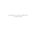For Michael Sorkin—I know he is no longer with us, but I refuse to believe it.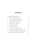## **CONTENTS**

| Introduction: Noli Me Tangere              |                                                | 1   |
|--------------------------------------------|------------------------------------------------|-----|
| 1.                                         | We're All in the Same Boat Now                 | 5   |
| 2.                                         | Why Are We Tired All the Time?                 | 17  |
| 3.                                         | Towards A Perfect Storm in Europe              | 29  |
| 4.                                         | Welcome to the Viral Desert                    | 37  |
| 5.                                         | The Five Stages of Epidemics                   | 47  |
| 6.                                         | The Virus of Ideology                          | 53  |
| 7.                                         | Calm Down and Panic!                           | 61  |
| 8.                                         | Monitor and Punish? Yes, Please!               | 71  |
| 9.                                         | Is Barbarism With a Human Face Our Fate?       | 83  |
|                                            | 10. Communism or Barbarism, as Simple as That! | 95  |
| Appendix: Two Helpful Letters from Friends |                                                | 107 |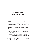### <span id="page-9-0"></span>**INTRODUCTION**  *NOLI ME TANGERE*

**f**  $\bullet$  vuch me not," according to John 20:17, is what Jesus said to Mary Magdalene when she recognized him after his resurrection. How do I, an avowed Christian atheist, understand these words? First, I take them together with Christ's answer to his disciple's question as to how we will know that he is returned, resurrected. Christ says he will be there whenever there is love between his believers. He will be there not as a person to touch, but as the bond of love and solidarity between people—so, "do not touch me, touch and deal with other people in the spirit of love."

Today, however, in the midst of the coronavirus epidemic, we are all bombarded precisely by calls not to touch others but to isolate ourselves, to maintain a proper corporeal distance. What does this mean for the injunction "touch me not?" Hands cannot reach the other person; it is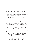only from within that we can approach one another—and the window onto "within" is our eyes. These days, when you meet someone close to you (or even a stranger) and maintain a proper distance, a deep look into the other's eyes can disclose more than an intimate touch. In one of his youthful fragments, Hegel wrote:

The beloved is not opposed to us, he is one with our own being; we see us only in him, but then again he is not a we anymore—a riddle, a miracle [*ein Wunder*], one that we cannot grasp.

It is crucial not to read these two claims as opposed, as if the beloved is partially a "we," part of myself, and partially a riddle. Is not the miracle of love that you are part of my identity precisely insofar as you remain a miracle that I cannot grasp, a riddle not only for me but also for yourself? To quote another well-known passage from young Hegel:

The human being is this night, this empty nothing, that contains everything in its simplicity an unending wealth of many representations, images, of which none belongs to him—or which are not present. One catches sight of this night when one looks human beings in the eye.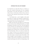### **INTRODUCTION:** *NOLI ME TANGERE*

No coronavirus can take this from us. So there is a hope that corporeal distancing will even strengthen the intensity of our link with others. It is only now, when I have to avoid many of those who are close to me, that I fully experience their presence, their importance to me.

I can already hear a cynic's laughter at this point: OK, maybe we will get such moments of spiritual proximity, but how will this help us to deal with the ongoing catastrophe? Will we learn anything from it?

Hegel wrote that the only thing we can learn from history is that we learn nothing from history, so I doubt the epidemic will make us any wiser. The only thing that is clear is that the virus will shatter the very foundations of our lives, causing not only an immense amount of suffering but also economic havoc conceivably worse than the Great Recession. There is no return to normal, the new "normal" will have to be constructed on the ruins of our old lives, or we will find ourselves in a new barbarism whose signs are already clearly discernible. It will not be enough to treat the epidemic as an unfortunate accident, to get rid of its consequences and return to the smooth functioning of the old way of doing things, with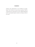perhaps some adjustments to our healthcare arrangements. We will have to raise the key question: What is wrong with our system that we were caught unprepared by the catastrophe despite scientists warning us about it for years?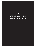**1.**

# <span id="page-13-0"></span>**WE'RE ALL IN THE SAME BOAT NOW**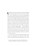l i Wenliang, the doctor who first discovered the ongoing coronavirus epidemic and was censored by authorcoronavirus epidemic and was censored by authorities, was an authentic hero of our time, something like the Chinese Chelsea Manning or Edward Snowden, so no wonder his death triggered widespread anger. The predictable reaction to how the Chinese state has dealt with the epidemic is best rendered by Hong Kong-based journalist Verna Yu's comment, "If China valued free speech, there would be no coronavirus crisis. Unless Chinese citizens' freedom of speech and other basic rights are respected, such crises will only happen again . . . Human rights in China may appear to have little to do with the rest of the world but as we have seen in this crisis, disaster could occur when China thwarts the freedoms of its citizens. Surely it is time the international community takes this issue more seriously."1

True, one can say that the whole functioning of the Chinese state apparatus runs against old Mao's motto "Trust the people!" Rather the government runs on the

1. [https://www.theguardian.com/world/2020/feb/08/if-china](https://www.theguardian.com/world/2020/feb/08/if-china-valued-free-speech-there-would-be-no-coronavirus-crisis)[valued-free-speech-there-would-be-no-coronavirus-crisis.](https://www.theguardian.com/world/2020/feb/08/if-china-valued-free-speech-there-would-be-no-coronavirus-crisis)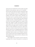premise that one should NOT trust the people: the people should be loved, protected, taken care of, controlled . . . but not trusted. This distrust is just the culmination of the same stance displayed by the Chinese authorities when they are dealing with reactions to ecological protests or problems with workers' health. Chinese authorities ever more often resort to a particular procedure: a person (an ecological activist, a Marxist student, the chief of Interpol, a religious preacher, a Hong Kong publisher, even a popular movie actress) simply disappears for a couple of weeks before they reappear in public with specific accusations raised against them, and this protracted period of silence delivers the key message: power is exerted in an impenetrable way where nothing has to be proven. Legal reasoning comes in distant second when this basic message is delivered. But the case of disappearing Marxist students is nonetheless specific: while all disappearances concern individuals whose activities can be somehow characterized as a threat to the state, the disappearing Marxist students legitimize their critical activity by a reference to the official ideology itself.

What triggered such a panicky reaction in the Party leadership was, of course, the specter of a network of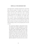### **WE'RE ALL IN THE SAME BOAT NOW**

self-organization emerging through direct horizontal links between groups of students and workers, and based in Marxism, with sympathy in some old party cadres and even parts of the army. Such a network directly undermines the legitimacy of the Party's rule and denounces it as an imposture. No wonder, then, that, in recent years, the government closed down many "Maoist" websites and prohibited Marxist debate groups at universities. The most dangerous thing to do today in China is to believe seriously in the state's own official ideology. China is now paying the price for such a stance:

The coronavirus epidemic could spread to about two-thirds of the world's population if it cannot be controlled," according to Hong Kong's leading public health epidemiologist Gabriel Leung. "People needed to have faith and trust in their government while the uncertainties of the new outbreak were worked out by the scientific community," he said, "and of course when you have social media and fake news and real news all mixed in there and then zero trust, how do you fight that epidemic? You need extra trust, an extra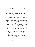sense of solidarity, an extra sense of goodwill, all of which have been completely used up.2

There should be more than one voice in a healthy society, said doctor Li from his hospital bed just prior to his death, but this urgent need for other voices to be heard does not necessarily mean Western-style multiparty democracy, it just demands an open space for citizens' critical reactions to circulate. The chief argument against the idea that the state has to control rumors to prevent panic is that this control itself spreads distrust and thus creates even more conspiracy theories. Only a mutual trust between ordinary people and the state can prevent this from happening.

A strong state is needed in times of epidemics since large-scale measures like quarantines have to be performed with military discipline. China was able to quarantine tens of millions of people. It seems unlikely that, faced with the same scale of epidemic, the United States will be able to enforce the same measures. It's not hard to imagine that large bands of libertarians, bearing arms and suspecting that the quarantine was a state conspiracy, would attempt to fight their way out. So would it have

<sup>2.</sup> [https://www.theguardian.com/world/2020/feb/11/coronavirus](https://www.theguardian.com/world/2020/feb/11/coronavirus-expert-warns-infection-could-reach-60-of-worlds-population)[expert-warns-infection-could-reach-60-of-worlds-population.](https://www.theguardian.com/world/2020/feb/11/coronavirus-expert-warns-infection-could-reach-60-of-worlds-population)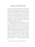### **WE'RE ALL IN THE SAME BOAT NOW**

been possible to prevent the outbreak with more freedom of speech, or has China been forced to sacrifice civil liberties in the province of Hubei in order to save the world? In some sense, both alternatives are true. And what makes things even worse is that there is no easy way to separate the "good" freedom of speech from the "bad" rumors. When critical voices complain that "the truth will always be treated as a rumor" by the Chinese authorities, one should add that the official media and the vast domain of digital news are already full of rumors.

A blistering example of this was provided by one of the main Russian national television networks, Channel One, which launched a regular slot devoted to coronavirus conspiracy theories on its main evening news programme, Vremya ("Time"). The style of the reporting is ambiguous, appearing to debunk the theories while leaving viewers with the impression that they contain a kernel of truth. The central message, that shadowy Western elites, and especially the US, are somehow ultimately to blame for coronavirus epidemics is thus propagated as a doubtful rumor: it's too crazy to be true, but nonetheless, who knows  $\ldots$  ?<sup>3</sup> The suspension of actual truth

<sup>3.</sup> <https://www.bbc.com/news/world-europe-51413870>.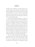strangely doesn't annihilate its symbolic efficiency. Plus, we must recognize that, sometimes, not telling the entire truth to the public can effectively prevent a wave of panic that could lead to more victims. At this level, the problem cannot be solved—the only way out is the mutual trust between the people and the state apparatuses, and this is what is sorely missing in China.

As the world-wide epidemic develops, we need to be aware that market mechanisms will not be enough to prevent chaos and hunger. Measures that appear to most of us today as "Communist" will have to be considered on a global level: coordination of production and distribution will have to take place outside the coordinates of the market. One should recall here the Irish potato famine in the 1840s that devastated Ireland, with millions dead or compelled to emigrate. The British state retained their trust in market mechanisms, exporting food from Ireland even when vast numbers were suffering. We must hope that a similar brutal solution is no longer acceptable today.

One can read the ongoing coronavirus epidemic as an inverted version of H. G. Wells's *The War of the Worlds* (1897). This is the story of how after Martians conquer the earth, the desperate hero-narrator discovers that all of them have been killed by an onslaught of earthly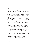### **WE'RE ALL IN THE SAME BOAT NOW**

pathogens to which they had no immunity: "slain, after all man's devices had failed, by the humblest things that God, in his wisdom, has put upon this earth." It is interesting to note that, according to Wells, the plot arose from a discussion with his brother Frank about the catastrophic effect of the British on indigenous Tasmanians. What would happen, he wondered, if Martians did to Britain what the British had done to the Tasmanians? The Tasmanians, however, lacked the lethal pathogens to defeat their invaders.4 Perhaps an epidemic which threatens to decimate humanity should be treated as Wells's story turned around: the "Martian invaders" ruthlessly exploiting and destroying life on earth are we, humanity, ourselves; and after all devices of highly developed primates to defend themselves from us have failed, we are now threatened "by the humblest things that God, in his wisdom, has put upon this earth," stupid viruses which just blindly reproduce themselves—and mutate.

We should of course analyze in detail the social conditions which made the coronavirus epidemic possible. Just think about the way, in today's interconnected world, a British person meets someone in Singapore, returns to

<sup>4.</sup> https://en.wikipedia.org/wiki/The War of the Worlds.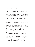England, and then goes skiing to France, infecting there four others . . . The usual suspects are waiting in line to be questioned: globalization, the capitalist market, the transience of the rich. However, we should resist the temptation to treat the ongoing epidemic as something that has a deeper meaning: the cruel but just punishment of humanity for the ruthless exploitation of other forms of life on earth. If we search for such a hidden message, we remain premodern: we treat our universe as a partner in communication. Even if our very survival is threatened, there is something reassuring in the fact that we are punished, the universe (or even Somebody-out-there) is engaging with us. We matter in some profound way. The really difficult thing to accept is the fact that the ongoing epidemic is a result of natural contingency at its purest, that it just happened and hides no deeper meaning. In the larger order of things, we are just a species with no special importance.

Reacting to the threat posed by the coronavirus outbreak, Israeli prime minister Benjamin Netanyahu immediately offered help and coordination to the Palestinian authority—not out of goodness and human consideration, but for the simple fact that it is impossible to separate Jews and Palestinians there—if one group is affected, the other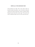### **WE'RE ALL IN THE SAME BOAT NOW**

will inevitably also suffer. This is the reality which we should translate into politics—now is the time to drop the "America (or whoever else) First" motto. As Martin Luther King put it more than half a century ago: "We may have all come on different ships, but we're in the same boat now."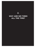**2.**

# <span id="page-25-0"></span>**WHY ARE WE TIRED ALL THE TIME?**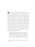The coronavirus epidemic confronts us with two opposed figures that prevail in our daily lives: those, like medical staff and carers, who are overworked to the point of exhaustion, and those who have nothing to do since they are forcibly or voluntarily confined to their homes. Belonging to the second category, I feel obliged to use this predicament to propose a short reflection on the different ways in which we become tired. I will ignore here the obvious paradox of enforced inactivity itself making us tired, but let me begin with Byung-Chul Han, who provided a systematic account of how and why we live in a "burnout society."1 Here is a short resume of Byung-Chul Han's masterpiece of the same name, shamelessly but gratefully lifted from Wikipedia:

Driven by the demand to persevere and not to fail, as well as by the ambition of efficiency, we become committers and sacrificers at the same time and enter a swirl of demarcation, self-exploitation and collapse. When production is immaterial,

<sup>1.</sup> Byung-Chul Han, *The Burnout Society*, Redwood City: Stanford UP 2015.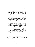everyone already owns the means of production him- or herself. The neoliberal system is no longer a class system in the proper sense. It does not consist of classes that display mutual antagonism. This is what accounts for the system's stability." Han argues that subjects become self-exploiters: "Today, everyone is an *auto-exploiting labourer in his or her own enterprise.* People are now master and slave in one. Even class struggle has transformed into an *inner struggle against oneself*." The individual has become what Han calls "the achievement-subject"; the individual does not believe they are subjugated "subjects" but rather "*projects*: Always refashioning and reinventing ourselves" which "amounts to a form of compulsion and constraint—indeed, to a *more efcient kind of subjectivation and subjugation.* As a project deeming itself free of external and alien limitations, the *I* is now subjugating itself to internal limitations and self-constraints, which are taking the form of compulsive achievement and optimization.<sup>2</sup>

While Han offers perspicuous observations on the new mode of subjectivation from which we can learn a lot (what he discerns is today's figure of superego),

<sup>2.</sup> [https://en.wikipedia.org/wiki/Byung-Chul\\_Han](https://en.wikipedia.org/wiki/Byung-Chul_Han).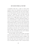### **WHY ARE WE TIRED ALL THE TIME?**

I nonetheless think that a couple of critical points should be made. First, limitations and constraints are definitely not only internal: new strict rules of behavior are being enforced, especially among the members of the new "intellectual" class. Just think about the Politically Correct constraints which form a special domain of the "struggle against oneself," against "incorrect" temptations. Or take the following example of a very external limitation: A couple of years ago, the filmmaker Udi Aloni organized for the Palestinian group, Jenin Freedom Theatre, to visit New York, and there was a report on the visit in *The New York Times* which nearly wasn't published. Asked to name his most recent publication for the story, Aloni cited a volume he had edited; the problem was that the word "bi-national" was in the book's subtitle. Afraid of annoying the Israeli government, the *Times* demanded that this word be deleted, otherwise the report would not appear.

Or take another, more recent example: the British Pakistani writer Kamila Shamsie wrote a novel, *Home Fire*, a successful modernized version of *Antigone*, and was awarded several international prizes for it, among them the Nelly Sachs Prize presented by the German city of Dortmund. However, when it became known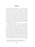that Shamsie supported BDS, she was retroactively stripped of the prize with the explanation that, when they decided to give it to her, "the members of the jury were not aware that the author has been participating in the boycott measures against the Israeli government for its Palestinian policies since 2014.<sup>3</sup> This is where we stand today: Peter Handke received the 2019 Nobel Prize in Literature although he openly agreed with Serb military operations in Bosnia, while supporting a peaceful protest against the West Bank politics of Israel excludes you from the winners' table.

Second, the new form of subjectivity described by Han is conditioned by the new phase of global capitalism which remains a class system with growing inequalities—struggle and antagonisms are in no way reducible to the intra-personal "struggle against oneself." There are still millions of manual workers in Third World countries, there are big differences between different kinds of immaterial workers (suffice it to mention the growing domain of those employed in "human services," like the caretakers of old people). A gap separates the top manager who owns or runs a company from a precarious worker spending

3. [https://www.middleeasteye.net/news/german-city-reverse](https://www.middleeasteye.net/news/german-city-reverse-prize-uk-author-kamila-shamsie-over-support-bds)[prize-uk-author-kamila-shamsie-over-support-bds.](https://www.middleeasteye.net/news/german-city-reverse-prize-uk-author-kamila-shamsie-over-support-bds)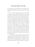### **WHY ARE WE TIRED ALL THE TIME?**

days at home alone with his/her personal computer—they are definitely not both a master and a slave in the same sense.

A lot is being written about how the old Fordist assembly line way of working is replaced by a new mode of cooperative work that leaves much more space for individual creativity. However, what is effectively going on is not so much a replacement, but an outsourcing: work for Microsoft and Apple may be organized in a more cooperative fashion, but their final products are then put together in China or Indonesia in a very Fordist way—assembly line work is simply outsourced. So we get a new division of work: self-employed and self-exploited workers (described by Han) in the developed West, debilitating assembly line work in the Third World, plus the growing domain of human care workers in all its forms (caretakers, waiters . . .) where exploitation also abounds. Only the first group (self-employed, often precarious workers) fits Han's description.

Each of the three groups implies a specific mode of being tired and overworked. The assembly line work is simply debilitating in its repetitiveness—workers get desperately tired of assembling again and again the same iPhone behind a table in a Foxconn factory in a suburb of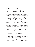Shanghai. In contrast to this tiredness, what makes the human-care work so weary is the very fact that they are expected to labor with empathy, to seem to care about the "objects" of their work: a kindergarten worker is paid not just to look after children but to show affection for them, the same goes for those who take care of the old or the sick. One can imagine the strain of constantly "being nice." In contrast to the first two spheres where we can at least maintain some kind of inner distance towards what we are doing (even when we are expected to treat a child nicely, we can just pretend to do so), the third sphere demands of us something which is much more tiresome. Imagine being hired to publicize or package a product in order to seduce people into buying it—even if personally one doesn't care about the product or even hates the very idea of it. One has to engage creativity quite intensely, trying to figure out original solutions, and such an effort can be much more exhausting than repetitive assembly line work. This is the specific tiredness Han is talking about.

But it is not only precarious workers laboring behind their PC screen at home who exhaust themselves through self-exploitation. Another group should be mentioned here, usually referred to by the deceptive term "creative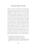### **WHY ARE WE TIRED ALL THE TIME?**

team work."4 These are workers who are expected to undertake entrepreneurial functions on behalf of higher management or owners. They deal "creatively" with social organization of production and with its distribution. The role of such groups is ambiguous: on the one hand, "by appropriating the entrepreneurial functions, workers deal with the social character and meaning of their work in the confined form of profitability": "The ability to organize labor and combined cooperation efficiently and economically, and to think about the socially useful character of labour, is useful for mankind and always will be."<sup>5</sup> However, they are doing this under the continuous subordination of capital, i.e., with the aim of making the company more efficient and profitable, and it is this tension which makes such "creative team work" so exhausting. They are held responsible for the success of the company, while their team work also involves competition among themselves and with other groups. As organizers of the work process, they are paid to perform a

- 4. See Stephan Siemens and Martina Frenzel, *Das unternehmerische Wir*, Hamburg: VSA Verlag 2014.
- 5. Eva Bockenheimer, "Where Are We Developing the Requirements for a New Society," in Victoria Fareld and Hannes Kuch, *From Marx to Hegel and Back*, London: Bloomsbury 2020, p. 209.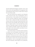role that traditionally belonged to capitalists. And so, with all the worries and responsibilities of management while remaining paid workers insecure of their future, they get the worst of both worlds.

Such class divisions have acquired a new dimension in the coronavirus panic. We are bombarded by calls to work from home, in safe isolation. But which groups can do this? Precarious intellectual workers and managers who are able to cooperate through email and teleconferencing, so that even when they are quarantined their work goes on more or less smoothly. They may gain even more time to "exploit ourselves." But what about those whose work has to take place outside, in factories and fields, in stores, hospitals and public transport? Many things have to take place in the unsafe outside so that others can survive in their private quarantine . . .

And, last but not least, we should avoid the temptation to condemn strict self-discipline and dedication to work and propagate the stance of "Just take it easy!"—*Arbeit macht frei!* ("Work sets you free") is still the right motto, although it was brutally misused by the Nazis. Yes, there is hard exhaustive work for many who deal with the effects of the epidemics—but it is a meaningful work for the benefit of the community which brings its own satisfaction,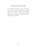### **WHY ARE WE TIRED ALL THE TIME?**

not the stupid effort of trying to succeed in the market. When a medical worker gets deadly tired from working overtime, when a caregiver is exhausted by a demanding charge, they are tired in a way that is different from the exhaustion of those driven by obsessive career moves. Their tiredness is worthwhile.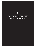**3.**

## **TOWARDS A PERFECT STORM IN EUROPE**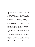**A** perfect storm takes place when a rare combination of disparate circumstances produces an event of extreme violence: in such a case, a synergy of forces releases energy much greater than the mere sum of its individual contributors. The term was popularized by Sebastian Junger's nonfiction bestseller from 1997 about a once-in-a-hundred-years combination that, in 1991, hit the northern Atlantic east of the US coast: a high pressure system from the Great Lakes produced storm winds over Sable Island off the coast of Nova Scotia that collided with Hurricane Grace coming from the Caribbean. Junger's report focuses on the crew of the fishing boat *Andrea Gail*, which disappeared among monstrous waves.

Due to its global character, the ongoing coronavirus epidemic often provokes the comment that we are now all in the same boat. But there are signs indicating that the boat called Europe comes much closer than others to the fate of *Andrea Gail.* Three storms are gathering and combining their force above Europe. The first two are not specific to Europe: the coronavirus epidemic in its direct physical impact (quarantines, suffering and death) and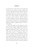its economic effects which will be worse in Europe than elsewhere since the continent is already stagnating, and is also more dependent than other regions of the world on imports and exports (for instance, the car industry is the backbone of the German economy, and the export of luxury cars to China is already at a standstill.) To these two storms, we have to add now a third one which we can call the Putogan virus: the new explosion of violence in Syria between Turkey and the Assad regime (directly supported by Russia). Both sides are coldly exploiting the suffering of millions of displaced people for their own political gains.

When Turkey began to solicit thousands of immigrants to leave for Europe, organizing their transport to the Greek border, Erdogan justified this measure with pragmatic humanitarian reasons: Turkey cannot any longer support the growing number of refugees. This excuse bears witness to a breathtaking cynicism: it ignores how Turkey itself has participated in the Syrian civil war, supporting one faction against the other, and is thus heavily responsible for the flow of refugees. Now Turkey wants Europe to share the burden of refugees, i.e., to pay the price for its ruthless politics. The fake "solution" to the crisis of the Kurds in Syria—with Turkey and Russia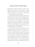### **TOWARDS A PERFECT STORM IN EUROPE**

imposing peace so that each controls its own side – is now falling apart, but Russia and Turkey remain in an ideal position to exert pressure on Europe: the two countries control the oil supply, as well as the flow of refugees, and so can use both as a means of blackmail.

The devilish dance between Erdogan and Putin, from conflict to alliance and back to conflict, should not deceive us: both extremes are part of the same geopolitical game at the expense of the Syrian people. Not only does neither side care about their suffering, they both actively exploit it. What cannot but strike the eye is the similarity between Putin and Erdogan, who evermore stand for the two versions of the same political regime, led by a composite figure that we can call Putogan.

One should avoid the game of asking who is more responsible, Erdogan or Putin, for the crisis. They are both worse and should be treated as what they are: war criminals using the suffering of millions and destroying a country to ruthlessly pursue their goals, among which is the destruction of a united Europe. Furthermore, they are now doing this in the context of a global epidemic, a time when global cooperation is more urgent than ever, using the fear this induces as a means of pursuing their military goals. In a world with a minimal sense of justice,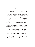their place should be not in presidential palaces but the International Criminal Court in the Hague.

Now we can see how the combination of three storms makes a perfect storm: a new wave of refugees organized by Turkey can have catastrophic consequences in this time of the coronavirus epidemic. Up until now, one of the few good things about the epidemic, alongside the basic fact that it has made us sharply aware of the need for global cooperation, has been that is has not been attributed to immigrants and refugees—racism was at work mostly in perceiving the threat as originating from the Oriental Other. But if the two issues get mixed together, if refugees are perceived as linked to the spread of the epidemic (and of course there are likely to be widespread infection of coronavirus among refugees given the conditions in the crowded camps they occupy), then populist racists will have their heyday: they will be able to justify their exclusion of foreigners with "scientific" medical reasons. Sympathetic policies allowing the influx of refugees could easily trigger a reaction of panic and fear. As prime minister Viktor Orban claimed in a recent speech, Hungary could effectively become the model for all Europe to follow.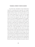#### **TOWARDS A PERFECT STORM IN EUROPE**

To prevent this catastrophe, the first thing that is required is something almost impossible: the strengthening of Europe's operational unity, especially the coordination between France and Germany. Based on this unity, Europe should then *act* to deal with the refugee crisis. In a recent TV debate, Gregor Gysi, a key figure of the German left-wing party Die Linke, gave a good answer to an anti-immigrant spokesperson who aggressively insisted that we should feel no responsibility for the poverty in Third World countries. Instead of spending money to help them, the spokesperson argued, our states should be responsible only for the welfare of their own citizens. The gist of Gysi's answer was that if we in Europe don't accept responsibility for the Third World poor and act accordingly, then they will have no choice but to come here, which is precisely what anti-immigrant sentiment is ferociously opposed to). While it is vital to all stress tolerance and solidarity towards refuges who are arriving, this line of argument that dealing with the difficulties of refuge flows is likely to be much more effective than appeals to abstract humanitarianism, appealing to generosity and guilt stemming from the undeniable fact that the cause of much suffering in the poorer nation is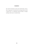the result of European racism and colonization. Such a line of argument, to maintain the existing order but with a human face, is a desperate measure likely to change nothing. Much more is needed today.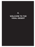**4.**

## **WELCOME TO THE VIRAL DESERT**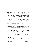The ongoing spread of the coronavirus epidemic has also triggered a vast epidemic of ideological viruses which were lying dormant in our societies: fake news, paranoiac conspiracy theories, explosions of racism. The wellgrounded medical need for quarantines found an echo in the ideological pressure to establish clear borders and to quarantine enemies who pose a threat to our identity.

But maybe another and much more beneficent ideological virus will spread and hopefully infect us: the virus of thinking of an alternate society, a society beyond nation-state, a society that actualizes itself in the forms of global solidarity and cooperation. Speculation is widespread that coronavirus may lead to the fall of Communist rule in China, in the same way that, as Gorbachev himself admitted, the Chernobyl catastrophe was the event that triggered the end of Soviet Communism. But there is a paradox here: coronavirus will also compel us to re-invent Communism based on trust in the people and in science.

In the final scene of Quentin Tarantino's *Kill Bill: Volume 2*, Beatrix disables the evil Bill and strikes him with the "Five Point Palm Exploding Heart Technique,"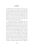the deadliest blow in all of martial arts. The move consists of a combination of five strikes with one's fingertips to five different pressure points on the target's body—after the target walks away and has taken five steps, their heart explodes in their body and they fall to the floor. Such an attack is part of the martial arts mythology but is not possible in real hand-to-hand combat. In the film, after Beatrix strikes him in this way, Bill calmly makes his peace with her, takes five steps and dies.

What makes this attack so fascinating is the time between being hit and the moment of death: I can have a nice conversation as long as I sit calmly, but I am aware throughout it that the moment I start to walk my heart will explode. And isn't the idea of those who speculate on how coronavirus may lead to the fall of the Communist rule in China that the coronavirus epidemics works as some kind of social "Five Point Palm Exploding Heart Technique" on the Chinese Communist regime: the Chinese leadership can sit, observe and go through the usual motions of quarantine, but every real change in the social order (like really trusting the people) will bring their downfall. My modest opinion is much more radical: the coronavirus epidemic is a kind of "Five Point Palm Exploding Heart Technique" on the global capitalist system—a signal that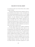## **WELCOME TO THE VIRAL DESERT**

we cannot go on the way we have till now, that a radical change is needed.

Years ago, Fredric Jameson drew attention to the utopian potential in movies about a cosmic catastrophe such as an asteroid threatening life on earth, or a virus wiping out humanity. Such a universal threat gives birth to global solidarity, our petty differences become insignificant, we all work together to find a solution—and here we are today, in real life. This is not a call to sadistically enjoy widespread suffering insofar as it helps our Cause—on the contrary, the point is to reflect upon the sad fact that we need a catastrophe to be able to rethink the very basic features of the society in which we live.

The first vague model of such a global coordination is the World Health Organization from which we are not getting the usual bureaucratic gibberish but precise warnings proclaimed without panic. Such organizations should be given more executive power. While US presidential candidate Bernie Sanders is mocked by skeptics for his advocacy of universal healthcare in the US, isn't the lesson of the coronavirus epidemics that even more is needed, that we should start to put together some kind of *global* healthcare network? A day after Iran's deputy health minister, Iraj Harirchi, appeared at a press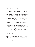conference in order to downplay the coronavirus spread and to assert that mass quarantines are not necessary, he made a short statement admitting that he has contracted the coronavirus and placed himself in isolation (even during his TV appearance, he had displayed signs of fever and weakness). Harirchi added: "This virus is democratic, and it doesn't distinguish between poor and rich or between the statesman and an ordinary citizen."1 In this, he was deeply right—we are all in the same boat. It is difficult to miss the supreme irony of the fact that what has brought us all together and promoted global solidarity expresses itself at the level of everyday life in strict commands to avoid close contacts with others, even to self-isolate.

And we are not dealing only with viral threats—other catastrophes are looming on the horizon or already taking place: droughts, heatwaves, killer storms, the list is long. In all these cases, the answer is not panic but the hard and urgent work to establish some kind of efficient global coordination.

The first illusion to get rid of is the one floated by Donald Trump during his recent visit to India: that the epidemic will recede quickly, we just have to wait for it to

1. [https://www.theguardian.com/world/2020/feb/25/](https://www.theguardian.com/world/2020/feb/25/irans-deputy-health-minister-i-have-coronavirus) [irans-deputy-health-minister-i-have-coronavirus](https://www.theguardian.com/world/2020/feb/25/irans-deputy-health-minister-i-have-coronavirus).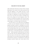### **WELCOME TO THE VIRAL DESERT**

spike and then life will return to normal. China is already preparing for this moment: their media announced that when the epidemic is over, people will have to work Saturdays and Sundays to catch up. Against these all too easy hopes, it's important to accept is that the threat is here to stay: even if this wave recedes, it will likely reappear in new, perhaps even more dangerous, forms. The fact that we already have patients who survived coronavirus infection, were proclaimed cured, and then became infected again, is an ominous sign in this direction.

For this reason, we can expect that viral epidemics will affect our most elementary interactions with other people and objects around us, including our own bodies: Instructions about how to deal with this will abound: avoid touching things which may be (invisibly) dirty, do not touch hooks, do not sit on public toilets or on benches in public places, avoid embracing others or shaking their hands . . . and be especially careful about how you control your own body and your spontaneous gestures: do not touch your nose or rub your eyes—in short, do not play with yourself. So it's not only the state and other agencies that will seek to control us, we should learn to control and discipline ourselves! Maybe only virtual reality will be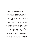considered safe, and moving freely in an open space will be reserved for the islands owned by the ultra-rich.<sup>2</sup>

But even here, at the level of virtual reality and the internet, we should remind ourselves that, in the last decades, the terms "virus" and "viral" were mostly used to designate digital viruses that infected our web-space and of which we were not aware, at least not until their destructive power (say, of destroying our data or our hard drive) was unleashed. What we see now is a massive return to the original literal meaning of the term: viral infections work hand in hand in both dimensions, real and virtual.

Another weird phenomenon that we can observe is the triumphant return of capitalist animism, of treating social phenomena such as markets or financial capital as living entities. If one reads our big media, the impression one gets is that what we should really worry about are not the thousands who have already died and the many more who will, but the fact that "markets are panicking"—coronavirus is ever more disturbing the smooth functioning of the world market. Does all this not clearly signal the urgent need for a reorganization of global economy which will no longer be at the mercy of market mechanisms? We

2. I owe this insight to Andreas Rosenfelder.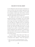## **WELCOME TO THE VIRAL DESERT**

are not talking here about the old-style Communism, of course, just about some kind of global organization that can control and regulate the economy, as well as limit the sovereignty of nation-states when needed. Countries were able to do it in the conditions of war, and we are now effectively approaching a state of medical war.

We should not be afraid to note some potentially beneficial side effect of the epidemic. One of the lasting symbols of the epidemic is passengers trapped in quarantine on large cruise ships. Good riddance to the obscenity of such ships say I, though we have to be careful that travel to lone islands or other resorts will not once again become the exclusive privilege of the rich few, as it was decades ago with flying. Amusement parks are turning into ghost towns—perfect, I cannot imagine a more boring and stupid place than Disneyland. Car production is seriously affected—good, this may compel us to think about alternatives to our obsession with individual vehicles. The list can go on.

In a recent speech, Viktor Orban said: "There is no such thing as a liberal. A liberal is nothing more than a Communist with a diploma."3 What if the opposite is

<sup>3.</sup> [https://www.euronews.com/2020/02/16/hungary-s-orban](https://www.euronews.com/2020/02/16/hungary-s-orban-lashes-out-at-slow-eu-growth-sinister-menaces-and-george-soros)[lashes-out-at-slow-eu-growth-sinister-menaces-and-george](https://www.euronews.com/2020/02/16/hungary-s-orban-lashes-out-at-slow-eu-growth-sinister-menaces-and-george-soros)[soros.](https://www.euronews.com/2020/02/16/hungary-s-orban-lashes-out-at-slow-eu-growth-sinister-menaces-and-george-soros)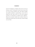true? If we designate as "liberals" those who care for our freedoms, and as "Communists" those who are aware that we can save those freedoms only with radical changes since global capitalism is approaching a crisis, then we should say that, today, those of us who still recognize ourselves as Communists, are liberals with a diploma liberals who seriously studied why our liberal values are under threat and became aware that only a radical change can save them.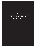**5.**

## **THE FIVE STAGES OF EPIDEMICS**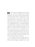**M**aybe we can learn something about our reactions to the coronavirus epidemics from Elisabeth Kübler-Ross who, in her *On Death and Dying*, proposed the famous schema of the five stages of how we react upon learning that we have a terminal illness: *denial* (one simply refuses to accept the fact: "This can't be happening, not to me."); *anger* (which explodes when we can no longer deny the fact: "How can this happen to me?"); *bargaining* (the hope we can somehow postpone or diminish the fact: "Just let me live to see my children graduate."); *depression* (libidinal disinvestment: "I'm going to die, so why bother with anything?"); *acceptance* ("I can't fight it, I may as well prepare for it."). Later, Kübler-Ross applied these stages to any form of catastrophic personal loss (joblessness, death of a loved one, divorce, drug addiction), and also emphasized that they do not necessarily come in the same order, nor are all five stages experienced by all patients.

One can discern the same five stages whenever a society is confronted with some traumatic break. Let's take the threat of ecological catastrophe: first, we tend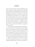to deny it (it's just paranoia, all that's happening are the usual oscillations in weather patterns); then comes anger (at big corporations which pollute our environment, at the government which ignores the dangers); this is followed by bargaining (if we recycle our waste, we can buy some time; also there are good sides to it: we can grow vegetables in Greenland, ships will be able to transport goods from China to the US much faster on the new northern passage, new fertile land is becoming available in Siberia due to the melting of permafrost . . .), depression (it's too late, we're lost . . .); and, finally, acceptance—we are dealing with a serious threat, and we'll have to change our entire way of life!

The same holds for the growing threat of digital control over our lives: first, we tend to deny it (it's an exaggeration, a Leftist paranoia, no agency can control our daily activity); then we explode in anger (at big companies and secret state agencies who know us better than we know ourselves and use this knowledge to control and manipulate us); next, bargaining (authorities have the right to search for terrorists, but not to infringe upon our privacy . . .); followed by depression (it's too late, our privacy is lost, the time of personal freedoms is over); and, finally, acceptance (digital control is a threat to our freedom, we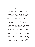## **THE FIVE STAGES OF EPIDEMICS**

should render the public aware of all its dimensions and engage ourselves to fight it!).

In medieval times, the population of an affected town reacted to the signs of plague in a similar way: first denial, then anger at our sinful lives for which we are punished, or even at the cruel God who allowed it, then bargaining (it's not so bad, let's just avoid those who are ill . . .), then depression (our life is over . . .), then, interestingly, orgies (since our lives are over, let's get out of it all the pleasures still possible with lots of drinking and sex), and, finally, acceptance (here we are, let's just behave as much as possible as if normal life goes on . . .).

And is this not also how we are dealing with the coronavirus epidemics that exploded at the end of 2019? First, there was a denial (nothing serious is going on, some irresponsible individuals are just spreading panic); then, anger (usually in a racist or anti-state form: the Chinese are guilty, our state is not efficient . . .); next comes bargaining (OK, there are some victims, but it's less serious than SARS, and we can limit the damage . . .); if this doesn't work, depression arises (let's not kid ourselves, we are all doomed) . . . but how would will the final stage of acceptance look? It's a strange fact that this epidemic displays a feature common with the latest round of social protests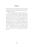in places like France and Hong Kong, They don't explode and then pass away, they persist, bringing permanent fear and fragility to our lives.

What we should accept and reconcile ourselves to, is that there is a sub-layer of life, the undead, stupidly repetitive, pre-sexual life of viruses, which has always been there and which will always be with us as a dark shadow, posing a threat to our very survival, exploding when we least expect it. And at an even more general level, viral epidemics remind us of the ultimate contingency and meaninglessness of our lives: no matter how magnificent the spiritual edifices we, humanity, construct, a stupid natural contingency like a virus or an asteroid can end it all . . . not to mention the lesson of ecology, which is that we, humanity, can also unknowingly contribute to this end.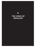**6.**

# **THE VIRUS OF IDEOLOGY**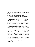**O**ne interesting question raised by the coronavirus epidemic, even for a non-expert in statistics like me, is: where does data end and ideology begin?

There is a paradox at work here: the more our world is connected, the more a local disaster can trigger global fear and eventually a catastrophe. In the Spring of 2010, a dust cloud from a minor volcanic eruption in Iceland, a small disturbance in the complex mechanism of the life on the Earth, put to a standstill the aerial traffic over most of Europe. It was a sharp reminder of how, despite all its tremendous activity of transforming nature, humankind remains merely another of many living species on planet Earth. The very catastrophic socioeconomic impact of such a minor outburst is due to the fragility of our technological development, in this case air travel. A century ago, such an eruption would have passed unnoticed. Technological development makes us more independent from nature and at the same time, at a different level, more dependent on nature's whims. And the same holds for the spread of coronavirus: if it had happened before Deng Xiaoping's reforms, we probably wouldn't even have heard about it.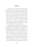One thing is sure: isolation alone, building new walls and further quarantines, will not do the job. Full unconditional solidarity and a globally coordinated response are needed, a new form of what was once called Communism. If we do not orient our efforts in this direction, then Wuhan today may well be typical of the city of our future. Many dystopias already imagine a similar future: we stay at home, work on our computers, communicate through videoconferences, exercise on a machine in the corner of our home office, occasionally masturbate in front of a screen displaying hardcore sex, and get food by delivery, never seeing other human beings in person.

There is, however, an unexpected emancipatory prospect hidden in this nightmarish vision. I must admit that during these last days I caught myself dreaming of visiting Wuhan. The abandoned streets in a megalopolis—the usually bustling urban centers looking like ghost towns, stores with open doors and no customers, just a lone walker or a single car here and there, provide a glimpse of what a non-consumerist world might look like. The melancholic beauty of the empty avenues of Shanghai or Hong Kong remind me of some old post-apocalyptic movies like *On the Beach*, which shows a city with most of its population wiped out—no big spectacular destruction,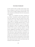## **THE VIRUS OF IDEOLOGY**

just the world out there no longer ready-at-hand, awaiting us, looking at us and for us. Even the white masks worn by the few people walking around provide a welcome anonymity and liberation from the social pressure of recognition.

Many of us remember the famous conclusion of the students' Situationist manifesto published in 1966: *Vivre sans temps mort, jouir sans entraves* (to live without dead time, to enjoy without obstacles). If Freud and Lacan taught us anything, it is that this formula, the supreme case of a superego injunction (since, as Lacan aptly demonstrated, superego is at its most basic a positive injunction to enjoy, not a negative act of prohibiting something) is in fact a recipe for disaster: the urge to fill in every moment of the time allotted to us with intense engagement unavoidably ends up in a suffocating monotony. Dead time—moments of withdrawal, of what old mystics called *Gelassenheit*, releasement—are crucial for the revitalization of our life experience. And, perhaps, one can hope that one of the unintended consequences of the coronavirus quarantines in cities around the world will be that some people at least will use their time released from hectic activity and think about the (non)sense of their predicament.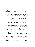I am fully aware of the danger I am courting in making public these thoughts. Am I not engaging in a new version of attributing to the suffering victims some deeper authentic insight from my (as yet) safe external position and thus cynically legitimizing their suffering? When a masked citizen of Wuhan walks around searching for medicine or food, there are definitely no anti-consumerist thoughts on his or her mind, just panic, anger and fear. My plea is just that even horrible events can have unpredictable positive consequences.

Carlo Ginzburg proposed the notion that being ashamed of one's country, not love of it, may be the true mark of belonging to it. Maybe, in this time of isolation and forced quietness, some Israelis will gather the courage to feel shame in relation to the politics done on their behalf by Netanyahu and Trump—not, of course, in the sense of shame of being Jewish but, on the contrary, of feeling shame for what the Israeli politics in the West Bank is doing to the most precious legacy of Judaism itself. Maybe, some British people will gather the courage to feel shame about falling for the ideological dream that brought them Brexit. But for the people in isolation in Wuhan and around the world, it's not the time to feel ashamed and stigmatized but rather the time to gather the courage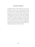## **THE VIRUS OF IDEOLOGY**

and patiently persist in their struggle. The only ones truly ashamed in China are those who publicly downplayed the epidemic while over-protecting themselves, acting like those Soviet functionaries around Chernobyl who publicly claimed there was no danger while immediately evacuating their own families, or those upper managers who publicly deny global warming but are already buying houses in New Zealand or building survival bunkers in the Rocky Mountains. Maybe, the public outrage against such double standards (which is already compelling the authorities to promise transparency) will give birth to an unintended positive side effect of this crisis.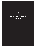**7.**

## **CALM DOWN AND PANIC!**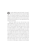Our media endlessly repeat the formula "No panic!" and then we get all the data that cannot but trigger panic. The situation resembles one I remember from my youth in a Communist country when government officials regularly assured the public there was no reason to panic. We all took such assurances as a clear sign that they were themselves panicking.

Panic has a logic of its own. The fact that, in the United Kingdom, due to the coronavirus panic, even the toilet paper rolls disappeared from the stores reminds me of a weird incident with toilet paper from my youth in Socialist Yugoslavia. All of a sudden, a rumor started to circulate that there not enough toilet paper was available. The authorities promptly issued assurances that there was enough toilet paper for normal consumption, and, surprisingly, this was not only true but people mostly even believed it was true. However, an average consumer reasoned in the following way: I know there is enough toilet paper and the rumor is false, but what if some people take this rumor seriously and, in a panic, start to buy excessive reserves of toilet paper, causing an actual shortage?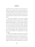So I better buy reserves myself. It is not even necessary to believe that some others take the rumor seriously—it is enough to presuppose that some others believe that there are people who take the rumor seriously—the effect is the same, namely the real lack of toilet paper in the stores. Is something similar not going on in the UK and California today?

The strange counterpart of this kind of ongoing excessive fear is the absence of panic when it would have been fully justified. In the last couple of years, after the SARS and Ebola epidemics, we were told again and again that a new much stronger epidemic was just a matter of time, that the question was not IF but WHEN. Although we were convinced of the truth of these dire predictions, we somehow didn't take them seriously and were reluctant to act and engage in serious preparations—the only place we dealt with them was in apocalyptic movies like *Contagion*.

What this contrast tells us is that panic is not a proper way to confront a real threat. When we react in panic, we do not take the threat seriously—we, on the contrary, trivialize it. Just think how ridiculous is the notion that having enough toilet paper would matter in the midst of a deadly epidemic. So what would be an appropriate reaction to the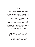# **CALM DOWN AND PANIC!**

coronavirus epidemics? What should we learn and what should we do to confront it seriously?

When I suggested that the coronavirus epidemics may give a new boost of life to Communism, my claim was, as expected, ridiculed. Although it seems that the strong approach to the crisis by the Chinese state has worked—or at least worked much better than what is now occurring in Italy, the old authoritarian logic of Communists in power also clearly demonstrated its limitations. One example was the fear of bringing bad news to those in power (and to the public) that outweighed actual results—this was the reason why those who first reported on a new virus were arrested, and there are reports that a similar phenomenon is occurring now the epidemic is waning.

The pressure to get China back to work after the coronavirus shutdown is resurrecting an old temptation: doctoring data so it shows senior officials what they want to see. This phenomenon is playing out in Zhejiang province, an industrial hub on the east coast, in the form of electricity usage. At least three cities there have given local factories targets to hit for power consumption because they're using the data to show a resurgence in production, according to people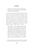familiar with the matter. That's prompted some businesses to run machinery even as their plants remain empty, the people said.<sup>1</sup>

We can also guess what will follow when those in power catch wind of this cheating: local managers will be accused of sabotage and severely punished, thus reproducing the vicious cycle of distrust. A Chinese Julian Assange is needed to expose to the public the concealment in China's response to the epidemic. But if this is not the Communism I have in mind, what do I mean by Communism? To understand it, one just has to read the public declarations of WHO. Here is a recent one:

WHO chief Dr. Tedros Adhanom Ghebreyesus said Thursday that although public health authorities across the globe have the ability to successfully combat the spread of the virus, the organization is concerned that in some countries the level of political commitment does not match the threat level. "This is not a drill. This is not the time to give up. This is not a time for excuses. This is a time for pulling out all the stops. Countries have been planning for scenarios

1. [https://www.bloomberg.com/news/articles/2020-03-01/china](https://www.bloomberg.com/news/articles/2020-03-01/china-s-push-to-jump-start-economy-revives-worries-of-fake-data)[s-push-to-jump-start-economy-revives-worries-of-fake-data.](https://www.bloomberg.com/news/articles/2020-03-01/china-s-push-to-jump-start-economy-revives-worries-of-fake-data)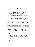# **CALM DOWN AND PANIC!**

like this for decades. Now is the time to act on those plans," Tedros said. "This epidemic can be pushed back, but only with a collective, coordinated and comprehensive approach that engages the entire machinery of government."2

One might add that such a comprehensive approach should reach well beyond the machinery of single governments: it should encompass local mobilization of people outside state control as well as strong and efficient international coordination and collaboration. If thousands become hospitalized with breathing problems, a vastly increased number of respiratory machines will be needed, and to get them, the state should directly intervene in the same way as it intervenes in conditions of war when thousands of guns are needed. It should also seek cooperation with other states. As in a military campaign, information should be shared and plans fully coordinated. This is all I mean by the "Communism" needed today, or, as Will Hutton put it:

Now, one form of unregulated, free-market globalization with its propensity for crises and pandemics is certainly dying. But another form

2. [https://edition.cnn.com/2020/03/06/asia/coronavirus-covid-](https://edition.cnn.com/2020/03/06/asia/coronavirus-covid-19-update-who-intl-hnk/index.html)[19-update-who-intl-hnk/index.html](https://edition.cnn.com/2020/03/06/asia/coronavirus-covid-19-update-who-intl-hnk/index.html).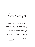that recognizes interdependence and the primacy of evidence-based collective action is being born.

What now still predominates is the stance of "every country for itself":

there are national bans on exports of key products such as medical supplies, with countries falling back on their own analysis of the crisis amid localized shortages and haphazard, primitive approaches to containment.3

The coronavirus epidemic does not signal just the limit of the market globalization, it also signals the even more fatal limit of nationalist populism which insists on full state sovereignty: it's over with "America (or whoever) first!" since America can be saved only through global coordination and collaboration. I am not a utopian here, I don't appeal to an idealized solidarity between people on the contrary, the present crisis demonstrates clearly how global solidarity and cooperation is in the interest of the survival of all and each of us, how it is the only rational egotist thing to do. And it's not just coronavirus:

<sup>3.</sup> [https://www.theguardian.com/commentisfree/2020/mar/08/](https://www.theguardian.com/commentisfree/2020/mar/08/the-coronavirus-outbreak-shows-us-that-no-one-can-take-on-this-enemy-alone) [the-coronavirus-outbreak-shows-us-that-no-one-can-take-on](https://www.theguardian.com/commentisfree/2020/mar/08/the-coronavirus-outbreak-shows-us-that-no-one-can-take-on-this-enemy-alone)[this-enemy-alone](https://www.theguardian.com/commentisfree/2020/mar/08/the-coronavirus-outbreak-shows-us-that-no-one-can-take-on-this-enemy-alone).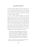# **CALM DOWN AND PANIC!**

China itself suffered a gigantic swine flu months ago, and it is now threatened by the prospect of a locust invasion. And, as Owen Jones has noted,<sup>4</sup> climate crisis is killing many more people around the world than coronavirus, but there is no panic about this.

From a cynical, vitalist standpoint, one could be tempted to see coronavirus as a beneficial infection that allows humanity to get rid of the old, weak and ill, like pulling out the half-rotten weed so that younger, healthier plants can prosper, and thus contribute to global health. The broad Communist approach I am advocating is the only way for us to leave behind such a primitive standpoint. Signs of curtailing unconditional solidarity are already discernible in the ongoing debates, as in the following note about the role of the "three wise men" if the epidemic takes a more catastrophic turn in the UK:

NHS patients could be denied lifesaving care during a severe coronavirus outbreak in Britain if intensive care units are struggling to cope, senior doctors have warned. Under a so-called "three wise men" protocol, three senior consultants in each hospital would be forced to make decisions

4. [https://www.theguardian.com/commentisfree/2020/mar/05/](https://www.theguardian.com/commentisfree/2020/mar/05/governments-coronavirus-urgent-climate-crisis) [governments-coronavirus-urgent-climate-crisis](https://www.theguardian.com/commentisfree/2020/mar/05/governments-coronavirus-urgent-climate-crisis).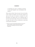on rationing care such as ventilators and beds, in the event hospitals were overwhelmed with patients."5

What criteria will the "three wise men" rely on? Sacrifice of the weakest and eldest? And will this situation not open up the space for immense corruption? Do such procedures not indicate that we are getting ready to enact the most brutal logic of the survival of the fittest? So, again, the choice we face is: barbarism or some kind of reinvented Communism.

5. [https://www.msn.com/en-gb/news/uknews/coronavirus](https://www.msn.com/en-gb/news/uknews/coronavirus-weakest-patients-could-be-denied-lifesaving-care-due-to-lack-of-funding-for-nhs-doctors-admit/ar-BB10raxq)[weakest-patients-could-be-denied-lifesaving-care](https://www.msn.com/en-gb/news/uknews/coronavirus-weakest-patients-could-be-denied-lifesaving-care-due-to-lack-of-funding-for-nhs-doctors-admit/ar-BB10raxq)[due-to-lack-of-funding-for-nhs-doctors-admit/](https://www.msn.com/en-gb/news/uknews/coronavirus-weakest-patients-could-be-denied-lifesaving-care-due-to-lack-of-funding-for-nhs-doctors-admit/ar-BB10raxq) [ar-BB10raxq](https://www.msn.com/en-gb/news/uknews/coronavirus-weakest-patients-could-be-denied-lifesaving-care-due-to-lack-of-funding-for-nhs-doctors-admit/ar-BB10raxq)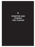**8.**

# **MONITOR AND PUNISH? YES, PLEASE!**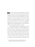**M**any liberal and Leftist commentators have noted how the coronavirus epidemic serves to justify and legitimize measures of control and regulation of the people, measures that were till now unthinkable in a Western democratic society. The lockdown of all of Italy is surely a totalitarian's wildest aspiration come true. No wonder that, as matters stand now, China, with its widespread digitalized social control, proved to be best equipped for coping with a catastrophic epidemic. Does this mean that, at least in some aspects, China is our future?

The Italian philosopher Giorgio Agamben has reacted to the coronavirus epidemic in a radically different way from the majority of commentators.<sup>1</sup> Agamben deplored the "frantic, irrational, and absolutely unwarranted emergency measures adopted for a supposed epidemic of coronavirus" which is just another version of flu, and asked: "why do the media and the authorities do their utmost to create a climate of panic, thus provoking a true state of exception, with severe limitations on movement and

1. [http://positionswebsite.org/giorgio-agamben-the-state-of](http://positionswebsite.org/giorgio-agamben-the-state-of-exception-provoked-by-an-unmotivated-emergency/)[exception-provoked-by-an-unmotivated-emergency/.](http://positionswebsite.org/giorgio-agamben-the-state-of-exception-provoked-by-an-unmotivated-emergency/)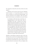the suspension of daily life and work activities for entire regions?"

Agamben sees the main reason for this "disproportionate response" in "the growing tendency to use the state of exception as a normal governing paradigm." The measures imposed in the emergency allow the government to limit seriously our freedoms by executive decree:

It is blatantly evident that these restrictions are disproportionate to the threat from what is, according to the NRC, a normal flu, not much diferent from those that afect us every year. We might say that once terrorism was exhausted as a justification for exceptional measures, the invention of an epidemic could offer the ideal pretext for broadening such measures beyond any limitation." The second reason is "the state of fear, which in recent years has difused into individual consciousnesses and which translates into a real need for states of collective panic, for which the epidemic once again offers the ideal pretext.

Agamben is describing an important aspect of the functioning of state control in the ongoing epidemic, but there are questions that remain open: why would state power be interested in promoting such a panic which is accompanied by distrust in state power ("they are helpless, they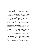### **MONITOR AND PUNISH? YES, PLEASE!**

are not doing enough . . .") and which disturbs the smooth reproduction of capital? Is it really in the interest of capital and state power to trigger a global economic crisis in order to renovate its reign? Are the clear signs that state power itself, not just ordinary people, is also in panic, aware of not being able to control the situation—are these signs really just a stratagem?

Agamben's reaction is just the extreme form of a widespread Leftist stance of reading the "exaggerated panic" caused by the virus spread as a mixture of an exercise of social control combined with elements of outright racism, as when Trump refers to "the Chinese virus." However, such social interpretation doesn't make the reality of the threat disappear. Does this reality compel us to effectively curtail our freedoms? Quarantines and similar measures of course limit our freedom, and new activists following in the shoes of Chelsea Manning, Julian Assange and Edward Snowden are needed to expose their possible misuses. But the threat of viral infection has also given a tremendous boost to new forms of local and global solidarity, and it has made more starkly clear the need for control over power itself. People are right to hold state power responsible: you have the power, now show us what you can do! The challenge that faces Europe is to prove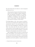that what China did can be done in a more transparent and democratic way:

China introduced measures that Western Europe and the USA are unlikely to tolerate, perhaps to their own detriment. Put bluntly, it is a mistake to reflexively interpret all forms of sensing and modelling as "surveillance" and active governance as "social control." We need a diferent and more nuanced vocabulary of intervention.2

Everything hinges on this "more nuanced vocabulary": the measures necessitated by the epidemics should not be automatically reduced to the usual paradigm of surveillance and control propagated by thinkers like Foucault. What I fear today more than the measures applied by China and Italy is that they apply these measures in a way that will not work and contain the epidemics, and that the authorities will manipulate and conceal the true data.

Both Alt-Right and fake Left refuse to accept the full reality of the epidemic, each watering it down in an exercise of social-constructivist reduction, i.e., denouncing it on behalf of its social meaning. Trump and his partisans repeatedly insist that the epidemic is a plot by Democrats

<sup>2.</sup> Benjamin Bratton, personal communication.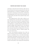### **MONITOR AND PUNISH? YES, PLEASE!**

and China to make him lose the election, while some on the Left denounce the measures proposed by the state and health apparatuses as tainted by xenophobia and therefore insist on continuing social interaction, symbolized by still shaking hands. Such a stance misses the paradox: not to shake hands and isolate when needed IS today's form of solidarity.

Who, going forward, will be able to afford to continue shaking hands and embracing? The privileged few, that's who. Boccaccio's *Decameron* is composed of stories told by a group of seven young women and three young men sheltering in a secluded villa just outside Florence to escape the plague which afflicted the city. The financial elite will similarly withdraw into secluded zones where they will amuse themselves by telling stories in the manner of *The Decameron*, while we, ordinary people, will have to live with viruses.

What I find especially annoying is how, when our media and other powerful institutions announce some closure or cancellation, they as a rule add a fixed temporal limitation, informing us, for instance, that the "schools will be closed till April 4." The big expectation is that, after the peak, which should arrive fast, things will return to normal. In this fashion, I have already been informed that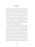a university symposium I was to participate in has just been postponed to September. The catch is that, even if life does eventually return to some semblance of normality, it will not be the same normal as the one we experienced before the outbreak. Things we were used to as part of our daily life will no longer be taken for granted, we will have to learn to live a much more fragile life with constant threats. We will have to change our entire stance to life, to our existence as living beings among other forms of life. In other words, if we understand "philosophy" as the name for our basic orientation in life, we will have to experience a true philosophical revolution.

To make this point clearer, let me quote a popular definition: viruses are "any of various infectious agents, usually ultramicroscopic, that consist of nucleic acid, either RNA or DNA, within a case of protein: they infect animals, plants, and bacteria and reproduce only within living cells: viruses are considered as being non-living chemical units or sometimes as living organisms." This oscillation between life and death is crucial: viruses are neither alive nor dead in the usual sense of these terms, they are a kind of living dead. A virus is alive in its drive to replicate, but it is a kind of zero-level life, a biological caricature not so much of death-drive as of life at its most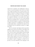### **MONITOR AND PUNISH? YES, PLEASE!**

stupid level of repetition and multiplication. However, viruses are not the elementary form of life out of which more complex developed; they are purely parasitic, they replicate themselves through infecting more developed organisms (when a virus infects us, humans, we simply serve as its copying machine). It is in this coincidence of the opposites—elementary and parasitic—that resides the mystery of viruses: they are a case of what Schelling called "*der nie aufhebbare Rest*": a remainder of the lowest form of life that emerges as a product of malfunctioning of higher mechanisms of multiplication and continues to haunt (infect) them, a remainder that cannot ever be re-integrated into the subordinate moment of a higher level of life.

Here we encounter what Hegel calls the speculative judgment, the assertion of the identity of the highest and the lowest. Hegel's best-known example is "Spirit is a bone" from his analysis of phrenology in *Phenomenology of Spirit*, and our example should be "Spirit is a virus." Human spirit is a kind of virus that parasitizes on the human animal, exploits it for its own self-reproduction, and sometimes threatens to destroy it. And, insofar as the medium of spirit is language, we should not forget that, at its most elementary level, language is also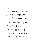something mechanical, a matter of rules we have to learn and follow.

Richard Dawkins has claimed that memes are "viruses of the mind," parasitic entities which "colonize" human might, using it as a means to multiply themselves—an idea whose originator was none other than Leo Tolstoy. Tolstoy is usually perceived as a much less interesting author than Dostoyevsky, a hopelessly outdated realist for whom there is basically no place in modernity, in contrast to Dostoyevsky's existential anguish. Perhaps, however, the time has come to fully rehabilitate Tolstoy, his unique theory of art and man in general, in which we find echoes of Dawkins's notion of memes. "A person is a hominid with an infected brain, host to millions of cultural symbionts, and the chief enablers of these are the symbiont systems known as languages"3 —is this passage from Dennett not pure Tolstoy? The basic category of Tolstoy's anthropology is *infection*: a human subject is a passive empty medium infected by affect-laden cultural elements which, like contagious bacilli, spread from one to another individual. And Tolstoy goes here to the end: he does not oppose a true spiritual autonomy to this spreading of

<sup>3.</sup> Daniel C. Dennett, *Freedom Evolves*, New York: Viking, 2003, p. 173.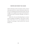# **MONITOR AND PUNISH? YES, PLEASE!**

affective infections; he does not propose a heroic vision of educating oneself into a mature autonomous ethical subject by way of getting rid of the infectious bacilli. The only struggle is the struggle between good and bad infections: Christianity itself is an infection, although—for Tolstoy—a good one.

Maybe this is the most disturbing thing we can learn from the ongoing viral epidemics: when nature is attacking us with viruses, it is in a way returning us our own message. The message is: what you did to me, I am now doing to you.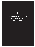# **9.**

# **IS BARBARISM WITH A HUMAN FACE OUR FATE?**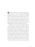These days I sometimes catch myself wishing to contract the virus—in this way, at least the debilitating uncertainty would be over. A clear sign of my growing anxiety is how I relate to sleep. Up until a week ago I was eagerly awaiting the end of the evening when I could escape into sleep and forget about the fears of daily life. Now it's almost the opposite: I am afraid to fall asleep since nightmares haunt me and I find myself awoken in a panic. The nightmares are about the reality that awaits me.

What reality? (I owe the line of thought that follows to Alenka Zupančič.). These days we often hear that radical social changes are needed if we want to cope with the consequences of the ongoing epidemics. As this little book testifies, I myself am among those spreading this mantra. But radical changes are already taking place. The coronavirus epidemic confronts us with something previously thought to be the impossible: the world as we knew it has stopped turning, whole countries are in a lockdown, many of us are confined to our homes facing an uncertain future in which, even if most of us survive, economic mega-crisis is likely. Our reaction to all of this, what we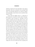should do, should also be the impossible—what appears impossible within the coordinates of the existing world order. The impossible happened, our world has stopped, AND impossible is what we have to do to avoid the worst, which is—what?

I don't think the biggest threat is a regression to open barbarism, to brutal survivalist violence with public disorders, panic lynching, etc. (although, with the collapse of health and some other public services, this is also possible). More than open barbarism I fear barbarism with a human face—ruthless survivalist measures enforced with regret and even sympathy, but legitimized by expert opinions. A careful observer could easily notice the tonal change in how those holding power address us: they are not just trying to project calm and confidence, they also regularly utter dire predictions: the pandemic is likely to take about two years to run its course and the virus will eventually infect 60 to 70 percent of the global population, with millions dead. In short, their true message is that we will have to curtail the cornerstone of our social ethics: the care for the old and weak. Italy has already announced that, if things get worse, those over 80 or with other serious preexisting conditions will be simply left to die. One should note how accepting such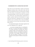# **IS BARBARISM WITH A HUMAN FACE OUR FATE?**

logic of the "survival of the fittest" violates even the basic principle of military ethics, which tells us that, after the battle, one should first take care of the heavily wounded even if the chance of saving them is minimal. To avoid a misunderstanding, I want to assert that I am being an utter realist here: one should prepare medicaments to enable a painless death for the terminally ill, to spare them the unnecessary suffering. But our first principle should be not to economize but to assist unconditionally, irrespective of costs, those who need help, to enable their survival.

So I respectfully disagree with Giorgio Agamben who sees in the ongoing crisis as a sign that

. . . our society no longer believes in anything but bare life. It is obvious that Italians are disposed to sacrifice practically everything—the normal conditions of life, social relationships, work, even friendships, afections, and religious and political convictions—to the danger of getting sick. Bare life—and the danger of losing it—is not something that unites people, but blinds and separates them."1

1. <https://itself.blog/2020/03/17/giorgio-agamben-clarifications/>.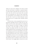Things are much more ambiguous: the threat of death *does* also unite them—to maintain a corporeal distance is to show respect to the other since I also may be a virus bearer. My sons avoid me now because they are afraid they will contaminate me. What for them would likely be a passing illness can be deadly for me. If in the Cold War the rule of survival was MAD (Mutually Assured Destruction), now it is another MAD—mutually assured distance.

In the last days, we hear repeatedly that each of us is personally responsible and has to follow the new rules. Media are full of stories about people who misbehaved and put themselves and others in danger, an infected man enters a store and coughs on everyone, that sort of thing. The problem with this is the same as the journalism dealing with the environmental crisis: the media over-emphasize our personal responsibility for the problem, demanding that we pay more attention to recycling and other behavioral issues. Such a focus on individual responsibility, necessary as it is to some degree, functions as ideology the moment it serves to obfuscate the bigger questions of how to change our entire economic and social system. The struggle against coronavirus can only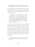# **IS BARBARISM WITH A HUMAN FACE OUR FATE?**

be fought together with the struggle against ideological mystification, and as part of a general ecological struggle. As Kate Jones put it, the transmission of disease from wildlife to humans is

. . . a hidden cost of human economic development. There are just so many more of us, in every environment. We are going into largely undisturbed places and being exposed more and more. We are creating habitats where viruses are transmitted more easily, and then we are surprised that we have new ones  $2$ 

So it is not enough to put together some kind of global healthcare for humans, nature in its entirety has to be included. Viruses also attack plants, which are the main sources of our food. We have constantly to bear in mind the global picture of the world we live in, with all the paradoxes this implies. For example, it is good to know that the coronavirus lockdown in China saved more lives that the number of those killed by the virus (if one trusts official statistics):

2. [https://www.theguardian.com/environment/2020/mar/18/tip](https://www.theguardian.com/environment/2020/mar/18/tip-of-the-iceberg-is-our-destruction-of-nature-responsible-for-covid-19-aoe)[of-the-iceberg-is-our-destruction-of-nature-responsible-for](https://www.theguardian.com/environment/2020/mar/18/tip-of-the-iceberg-is-our-destruction-of-nature-responsible-for-covid-19-aoe)[covid-19-aoe.](https://www.theguardian.com/environment/2020/mar/18/tip-of-the-iceberg-is-our-destruction-of-nature-responsible-for-covid-19-aoe)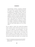Environmental resource economist Marshall Burke says there is a proven link between poor air quality and premature deaths linked to breathing that air. "With this in mind," he said, "a natural—if admittedly strange—question is whether the lives saved from this reduction in pollution caused by economic disruption from COVID-19 exceeds the death toll from the virus itself." "Even under very conservative assumptions, I think the answer is a clear 'yes.'" At just two months of reduction in pollution levels he says it likely saved the lives of 4,000 children under five and 73,000 adults over 70 in China alone $3$ 

We are caught in a triple crisis: medical (the epidemic itself), economic (which will hit hard whatever the outcome of the epidemic), and psychological. The basic coordinates of the everyday lives of millions are disintegrating, and the change will afect everything, from flying to holidays to simple bodily contact. We have to learn to think outside the coordinates of the stock market and profit and simply find another way to produce and

<sup>3.</sup> [https://www.dailymail.co.uk/sciencetech/article-8121515/](https://www.dailymail.co.uk/sciencetech/article-8121515/Global-air-pollution-levels-plummet-amid-coronavirus-pandemic.html) [Global-air-pollution-levels-plummet-amid-coronavirus](https://www.dailymail.co.uk/sciencetech/article-8121515/Global-air-pollution-levels-plummet-amid-coronavirus-pandemic.html)[pandemic.html](https://www.dailymail.co.uk/sciencetech/article-8121515/Global-air-pollution-levels-plummet-amid-coronavirus-pandemic.html).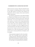### **IS BARBARISM WITH A HUMAN FACE OUR FATE?**

allocate necessary resources. When the authorities learn that a company is stockpiling millions of masks, waiting for the right moment to sell them, there should be no negotiations with the company, those masks should be simply requisitioned.

The media has reported that Trump offered \$1 Billion to Tübingen-based biopharmaceutical company CureVac to secure an effective coronavirus and vaccine "only for the United States." The German health minister, Jens Spahn, said a takeover of CureVac by the Trump administration was "off the table": CureVac would only develop vaccine "for the whole world, not for individual countries." Here we have an exemplary case of the struggle between privatization/barbarism and collectivism/civilization. Yet, at the same time, Trump was forced to invoke the Defense Production Act to allow the government to instruct the private sector to ramp up production of emergency medical supplies:

Trump announces proposal to take over private sector. The US president said he would invoke a federal provision allowing the government to marshal the private sector in response to the pandemic, the Associated Press reported. Trump said he would sign an act giving himself the authority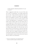to direct domestic industrial production "in case we need it."4

When I suggested recently that a way out of this crisis was a form of "Communism" I was widely mocked. But now we read, "Trump announces proposal to take over private sector." Could one even imagine such a headline prior to the epidemic? And this is just the beginning: many more measures of this sort will be needed, as well as local self-organization of communities if state-run health systems collapse under too much under stress. It is not enough just to isolate and survive—for this to be possible, basic public services will have to continue functioning: electricity and water, food and medicine will have to continue being available. We will soon need a list of those who have recovered and are, at least for some time, immune so that they can be mobilized for the urgent public work. This is not a utopian Communist vision, it is a Communism imposed by the necessities of bare survival. It is unfortunately a version of what, in the Soviet Union in 1918, was called "war Communism."

<sup>4.</sup> [https://www.theguardian.com/world/2020/mar/18/](https://www.theguardian.com/world/2020/mar/18/coronavirus-latest-at-a-glance-wednesday-2020) [coronavirus-latest-at-a-glance-wednesday-2020](https://www.theguardian.com/world/2020/mar/18/coronavirus-latest-at-a-glance-wednesday-2020).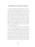### **IS BARBARISM WITH A HUMAN FACE OUR FATE?**

There are progressive things that only a conservative with the hard-line patriotic credentials can do: only de Gaulle was able to give independence to Algeria, only Nixon was able to establish relations with China. In both cases, if a progressive president had attempted to do these things, he would have been instantly accused of betraying the national interest. The same thing now applies with Trump limiting the freedom of private enterprises and forcing them to produce what is needed for the fight against coronavirus: if Obama were to do it, the right-wing populists would undoubtedly explode in rage, claiming that he was using the health crisis as an excuse to introduce Communism to the US.

As the saying goes: in a crisis we are all Socialists. Even Trump is now considering a form of Universal Basic Income—a check for \$1,000 to every adult citizen. Trillions will be spent violating all conventional market rules. But it remains unclear how and where this will occur, and for whom? Will this enforced Socialism be the Socialism for the rich as it was with the bailing out of the banks in 2008 while millions of ordinary people lost their small savings? Will the epidemic be reduced to another chapter in the long sad story of what Naomi Klein called "disaster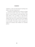capitalism," or will a new better balanced, if perhaps more modest, world order emerge from it?

Everybody is saying today that we will have to change our social and economic system. But, as Thomas Piketty noted in a recent comment in *Nouvel Observateur*, what really matters is *how* we change it, in what direction, which measures are needed. A common sooth now in circulation is that, since we are all now in this crisis together, we should forget about politics and just work in unison to save ourselves. This notion is false: true politics are needed *now*—decisions about solidarity are eminently political.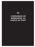# **10.**

# **COMMUNISM OR BARBARISM, AS SIMPLE AS THAT!**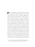**From Alain Badiou to Byung-Chul Han<sup>1</sup> and many others, from the Right and the Left, I have been crit**rom Alain Badiou to Byung-Chul Han<sup>1</sup> and many icized, mocked even, after I repeatedly suggested the arrival of a form of Communism as a result of the coronavirus pandemic. The basic motifs in the cacophony of voices were easily predictable: capitalism will return in an even stronger form, using the epidemic as a disaster boost; we will all silently accept total control of our lives by the state apparatuses in the Chinese style as a medical necessity; the survivalist panic is eminently apolitical, it makes us perceive others as a deadly threat, not as comrades in a struggle. Han added some specific insights into the cultural differences between the East and the West: the developed Western countries are overreacting because they have got used to life without real enemies. Being open and tolerant, and lacking immunity mechanisms, when a real threat emerged, they were thrown into panic. But is the developed West really as permissive as it claims? Is our entire political and social space not

1. [https://www.welt.de/kultur/article206681771/Byung-Chul-Han](https://www.welt.de/kultur/article206681771/Byung-Chul-Han-zu-Corona-Vernunft-nicht-dem-Virus-ueberlassen.html)[zu-Corona-Vernunft-nicht-dem-Virus-ueberlassen.html](https://www.welt.de/kultur/article206681771/Byung-Chul-Han-zu-Corona-Vernunft-nicht-dem-Virus-ueberlassen.html).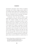permeated by apocalyptic visions: threats of ecological catastrophe, fear of Islamic refugees, panicky defense of our traditional culture against LGBT+ and gender theory? Just try to tell a dirty joke and you will immediately feel the force of Politically Correct censorship. Our permissiveness has years ago turned into its opposite.

Furthermore, does the enforced isolation really imply apolitical survivalism? I am much more in agreement with Catherine Malabou who wrote that "an *epochè*, a suspension, a bracketing of sociality, is sometimes the only access to alterity, a way to feel close to all the isolated people on Earth. Such is the reason why I am trying to be as solitary as possible in my loneliness."2 This is a deeply Christian idea: when I feel alone, abandoned by God, at that point I am like Christ on the cross, in full solidarity with him. And, today, the same goes for Julian Assange, isolated in his prison cell, with no visits permitted. We are all now like Assange and, more than ever, we need figures like him to prevent dangerous abuses of power justified by a medical threat. In

2. [https://critinq.wordpress.com/2020/03/23/to-quarantine](https://critinq.wordpress.com/2020/03/23/to-quarantine-from-quarantine-rousseau-robinson-crusoe-and-i/?fbclid=IwAR2t6gCrl7tpdRPWhSBWXScsF54lCfRH1U-2sMEOI9PcXH7uNtKVWzKor3M)[from-quarantine-rousseau-robinson-crusoe](https://critinq.wordpress.com/2020/03/23/to-quarantine-from-quarantine-rousseau-robinson-crusoe-and-i/?fbclid=IwAR2t6gCrl7tpdRPWhSBWXScsF54lCfRH1U-2sMEOI9PcXH7uNtKVWzKor3M)[and-i/?fbclid=IwAR2t6gCrl7tpdRPWhSBWXScsF](https://critinq.wordpress.com/2020/03/23/to-quarantine-from-quarantine-rousseau-robinson-crusoe-and-i/?fbclid=IwAR2t6gCrl7tpdRPWhSBWXScsF54lCfRH1U-2sMEOI9PcXH7uNtKVWzKor3M) [54lCfRH1U-2sMEOI9PcXH7uNtKVWzKor3M](https://critinq.wordpress.com/2020/03/23/to-quarantine-from-quarantine-rousseau-robinson-crusoe-and-i/?fbclid=IwAR2t6gCrl7tpdRPWhSBWXScsF54lCfRH1U-2sMEOI9PcXH7uNtKVWzKor3M).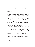# **COMMUNISM OR BARBARISM, AS SIMPLE AS THAT!**

isolation, phone and internet are our principal links with others; and both are controlled by the state who can disconnect us at its will.

So what will happen? What previously seemed impossible is already taking place: For instance on March 24, 2020 Boris Johnson announced the temporary nationalization of the UK's railways. As Assange told Yanis Varoufakis in a brief phone conversation: "this new phase of the crisis is, at the very least, making it clear to us that *anything goes*—that everything is now possible"3 . Of course, everything flows in all directions, from the best to the worst. Our situation now is therefore profoundly political: we are facing radical choices.

It is possible that, in parts of the world, state power will half-disintegrate, that local warlords will control their territories in a general Mad Max-style struggle for survival, especially if threats like hunger or environmental degradation accelerate. It is possible that extremist groups, will adopt the Nazi strategy of "let the old and weak die" to strengthen and rejuvenate our nation" (some groups are already encouraging members who contracted coronavirus to spread the contagion to

3. [https://www.yanisvaroufakis.eu/2020/03/24/last-night-julian](https://www.yanisvaroufakis.eu/2020/03/24/last-night-julian-assange-called-me-here-is-what-we-talked-about/)[assange-called-me-here-is-what-we-talked-about/](https://www.yanisvaroufakis.eu/2020/03/24/last-night-julian-assange-called-me-here-is-what-we-talked-about/).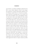cops and Jews, according to intelligence gathered by the FBI). A more refined capitalist version of such relapse into barbarism is already being openly debated in the US. Writing in capital letters in a tweet late on Sunday , March 22nd, the US president said: "WE CANNOT LET THE CURE BE WORSE THAN THE PROBLEM ITSELF. AT THE END OF THE 15-DAY PERIOD WE WILL MAKE A DECISION AS TO WHICH WAY WE WANT TO GO." Vice-President Mike Pence, who heads the White House coronavirus taskforce, said earlier on the same day that the federal Centers for Disease Control and Prevention (CDC) would issue guidance on the following Monday designed to allow people already exposed to the coronavirus to return to work sooner. And the *Wall Street Journal* editorial board warned that "federal and state officials need to start adjusting their anti-virus strategy now to avoid an economic recession that will dwarf the harm from 2008-2009." Bret Stephens, a conservative columnist at *The New York Times*, which Trump monitors closely, wrote that treating the virus as a threat comparable to the second world war "needs to be questioned aggressively before we impose solutions possibly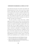#### **COMMUNISM OR BARBARISM, AS SIMPLE AS THAT!**

more destructive than the virus itself."4 Dan Patrick, the lieutenant governor of Texas, went on Fox News to argue that he would rather die than see public health measures damage the US economy, and that he believed "lots of grandparents" across the country would agree with him. "My message: let's get back to work, let's get back to living, let's be smart about it, and those of us who are 70-plus, we'll take care of ourselves."5

The only occasion in recent times that a similar approach was taken, as far as I know, was in the last years of Ceausescu's rule in Romania when retired people were simply not accepted into hospitals, whatever their state, because they were no longer considered of any use to society. The message in such pronouncements is clear: the choice is between a substantial, if incalculable, number of human lives and the American (i.e. Capitalist) "way of life." In this choice, human lives lose. But is this the only choice? Are we not already, even in the US, doing something different? Of course an entire country or even the world cannot indefinitely stay in a lockdown—but it can

- 4. [https://www.theguardian.com/world/2020/mar/23/trump](https://www.theguardian.com/world/2020/mar/23/trump-social-distancing-coronavirus-rules-guidelines-economy)[social-distancing-coronavirus-rules-guidelines-economy.](https://www.theguardian.com/world/2020/mar/23/trump-social-distancing-coronavirus-rules-guidelines-economy)
- 5. [https://www.theguardian.com/world/2020/mar/24/older](https://www.theguardian.com/world/2020/mar/24/older-people-would-rather-die-than-let-covid-19-lockdown-harm-us-economy-texas-official-dan-patrick)[people-would-rather-die-than-let-covid-19-lockdown-harm-us](https://www.theguardian.com/world/2020/mar/24/older-people-would-rather-die-than-let-covid-19-lockdown-harm-us-economy-texas-official-dan-patrick)[economy-texas-o](https://www.theguardian.com/world/2020/mar/24/older-people-would-rather-die-than-let-covid-19-lockdown-harm-us-economy-texas-official-dan-patrick)fficial-dan-patrick.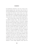be transformed, restarted in a new way. I have no sentimental prejudices here: who knows what we'll have to do, from mobilizing those who recovered and are immune to maintain the necessary social services, up to making available pills to enable painless death for lost cases where life is just a meaningless prolonged suffering. But we not only have a choice, we are already making choices.

This is why the stance of those who see the crisis as an apolitical moment where state power should do its task and we should just follow its instructions, hoping that some kind of normality will be restored in a not too far future, is a mistake. We should follow Immanuel Kant here who wrote with regard to the laws of the state: "Obey, but think, maintain the freedom of thought!" Today we need more than ever what Kant called the "public use of reason." It is clear that epidemics will return, combined with other ecological threats, from droughts to locusts, so hard decisions are to be made now. This is the point that those who claim this is just another epidemic with a relatively small number of dead don't get: yes, it is just an epidemic, but now we see that warnings about such epidemics in the past were fully justified, and that there is no end to them. We can of course adopt a resigned "wise" attitude of "worse things happened, think about the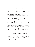#### **COMMUNISM OR BARBARISM, AS SIMPLE AS THAT!**

medieval plagues . . . " But the very need for this comparison tells a lot. The panic we are experiencing bears witness to the fact that there is some kind of ethical progress occurring, even if it is sometimes hypocritical: we are no longer ready to accept plagues as our fate.

This is where my notion of "Communism" comes in, not as an obscure dream but simply as a name for what is already going on (or at least perceived by many as a necessity), measures which are already being considered and even partially enforced. It's not a vision of a bright future but more one of "disaster Communism" as an antidote to disaster capitalism. Not only should the state assume a much more active role, organizing the production of urgently needed things like masks, test kits and respirators, sequestering hotels and other resorts, guaranteeing the minimum of survival of all new unemployed, and so on, doing all of this by abandoning market mechanisms. Just think about the millions, like those in the tourist industry, whose jobs will, for some time at least, be lost and meaningless,. Their fate cannot be left to mere market mechanisms or oneoff stimuluses. And let's not forget that refugees are still trying to enter Europe. It's hard to grasp their level of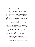despair if a territory under lockdown in an epidemics is still an attractive destination for them?

Two further things are clear. The institutional health system will have to rely on the help of local communities for taking care of the weak and old. And, at the opposite end of the scale, some kind of effective international cooperation will have to be organized to produce and share resources. If states simply isolate, wars will explode. These sorts of developments are what I'm referring to when I talk about "communism," and I see no alternative to it except new barbarism. How far will it develop? I can't say, I just know that the need for it is urgently felt all around, and, as we have seen, it is being enacted by politicians like Boris Johnson, certainly no Communist.

The lines that separate us from barbarism are drawn more and more clearly. One of the signs of civilization today is the growing perception that continuing the various wars that circle the globe as totally crazy and meaningless. So too the understanding that intolerance of other races and cultures, or of sexual minorities, pales into insignificance compared with the scale of the crisis we face. This is also why, although wartime measures are needed, I find problematic the use of the term "war" for our struggle against the virus: the virus is not an enemy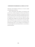# **COMMUNISM OR BARBARISM, AS SIMPLE AS THAT!**

with plans and strategies to destroy us, it is just a stupid self-replicating mechanism.

This is what those who deplore our obsession with survival miss. Alenka Zupančič recently reread Maurice Blanchot's text from the Cold War era about the scare of nuclear self-destruction of humanity. Blanchot shows how our desperate wish to survive does not imply the stance of "forget about changes, let's just keep safe the existing state of things, let's save our bare lives." In fact the opposite is true: it is through our effort to save humanity from self-destruction that we are creating a new humanity. It is only through this mortal threat that we can envision a unified humanity.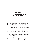# **APPENDIX TWO HELPFUL LETTERS FROM FRIENDS**

**Let** me begin with a personal confession: I like the idea<br>of being confined to one's apartment, with all the time needed to read and work. Even when I travel, I prefer to stay in a nice hotel room and ignore all the attractions of the place I'm visiting. A good essay on a famous painting means much more to me than seeing this painting in a crowded museum. But I've noticed this makes now being obliged to confine myself more difficult. To help explain this let me recount, not for the first time, the famous joke from Ernst Lubitsch's *Ninotchka*: "'Waiter! A cup of coffee without cream, please!' 'I'm sorry, sir, we have no cream, only milk, so can it be a coffee without milk?'" At the factual level, the coffee remains the same, what changes is making the coffee without cream into coffee without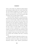milk—or, more simply even, adding the implied negation and making the simple coffee into a coffee without milk. The same thing has happened to my isolation. Prior to the crisis, it was an isolation "without milk"—I could have gone out, I just chose not to. Now it's just the plain coffee of isolation with no possible negation implied.

My friend Gabriel Tupinamba, a Lacanian psychoanalyst who works in Rio de Janeiro, explained this paradox to me in an email message: "people who already worked from home are the ones who are the most anxious, and exposed to the worst fantasies of impotence, since not even a change in their habits is delimiting the singularity of this situation in their daily lives." His point is complex but clear: if there is no great change in our daily reality, then the threat is experienced as a spectral fantasy nowhere to be seen and all the more powerful for that reason. Remember that, in Nazi Germany, anti-Semitism was strongest in those parts where the number of Jews was minimal—their invisibility made them a terrifying specter.

Although self-isolated, Tupinamba continues to analyse patients via phone or skype. In his letter, he noted, with some sarcasm, how analysts who previously, for theoretical reasons, strictly opposed psychoanalytic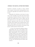# **APPENDIX: TWO HELPFUL LETTERS FROM FRIENDS**

treatment in absentia via phone or skype, immediately accepted it when directly meeting patients in person became impossible and would have meant loss of income.

Tupinamba's first reflection on the threat of coronavirus is that it brought to his mind what Freud noticed at beginning of *Beyond the Pleasure Principle*: the initial enigma that troubled Freud was that "soldiers who had been injured in the war were able to work through their traumatic experiences better than those who returned unscathed—those tended to have repeated dreams, reliving the violent imagery and fantasies from the wartime." Tupinamba links this to his memory of the famous "June Journey" political protests in Brazil in 2013:

. . . so many of my friends from diferent militant organizations who were at the frontline of the protests and who got injured and beaten by the police demonstrated a sort of subjective relief of being 'marked' by the situation—my intuition back then was that the bruises 'scaled down' the invisible political forces shaping that moment to a manageable individual measure, giving some limits to the fantasmatic power of the state. It was as if the cuts and bruises gave the Other some contours."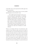("The Other" here is the all-powerful invisible agent who haunts a paranoiac.)

Tupinamba further noticed that the same paradox held during the arrival of the HIV crisis:

. . . the invisible spread of the HIV crisis was so nerve-wracking, the impossibility of rendering ourselves commensurate with the scale of the problem, that having one's passport 'stamped' / with HIV/ did not seem, to some, like too high a price to pay for giving the situation some symbolic contours: it would at least give a measure to the power of the virus and deliver us to a situation in which, already having contracted it, we could then see what sort of freedom we would still have.

What we are dealing with here is the distinction, elaborated by Lacan, between reality and the real: reality is external reality, our social and material space to which we are used and within which we are able to orient ourselves and interact with others, while the real is a spectral entity, invisible and for that very reason appearing as all-powerful. The moment this spectral agent becomes part of our reality (even if it means catching a virus), its power is localized, it becomes something we can deal with (even if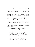# **APPENDIX: TWO HELPFUL LETTERS FROM FRIENDS**

we lose the battle). As long as this transposition into reality cannot take place, we "we get trapped either in anxious paranoia (pure globality) or resort to inefective symbolisations through acting outs that expose us to unnecessary risks (pure locality)." These "ineffective symbolizations" already assumed many forms—the best known of them is Trump's call to ignore the risks and get America back to work. Such acts are much worse than shouting and clapping while watching a soccer match in front of your TV at home, acting as if you can magically influence the outcome. But this does not mean we are helpless: we can get out of this deadlock, even before science provides the technical means to constrain the virus—here is Tupinamba again:

The fact that doctors who are in the frontline of the pandemic, people creating mutual aid systems in peripheral communities, etc., are less likely to give in to crazy paranoias, suggests to me that there is a 'collateral' subjective benefit to certain forms of political work today. It seems that politics done through certain mediations and the State is often the only available means here, but I think this might be contingent — not only provides us with the means to change the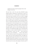situation, but also to give the proper form to the things we have lost.

The fact that, in the UK, more than 400,000 young, healthy people volunteered to help those in need as a result of the virus, is a good sign in this direction. But what about those among us who are not able to engage in this way? What can we do to survive the mental pressure of living in a time of pandemic? My first rule here is: this is not the time to search for some spiritual authenticity, to confront the ultimate abyss of our being. To use an expression by the late Jacques Lacan, try to identify with your symptom, without any shame, which means (I am simplifying a bit here), fully assume all small rituals, formulas, quirks, and so on, that will help stabilize your daily life. Everything that might work is permitted here if it helps to avoid a mental breakdown, even forms of fetishist denial: "I know very well . . . (how serious the situation is), but nonetheless . . . (I don't really believe it)." Don't think too much in the long term, just focus on today, what you will be doing till sleep. You might consider playing the game that features in the movie *Life is Beautiful*: pretend the lockdown is just a game that you and your family join freely and with the prospect of a big reward if you win. And, on the subject of movies and TV,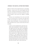# **APPENDIX: TWO HELPFUL LETTERS FROM FRIENDS**

gladly succumb to all your guilty pleasures: catastrophic dystopias, comedy series with canned laughter like *Will and Grace*, YouTube documentaries on the great battles of the past. My preference is for dark Scandinavian—preferably Icelandic—crime series like *Trapped* or *Valhalla Murders*.

However, just surrendering to the screen won't fully save you. The main task is to structure your daily life in a stable and meaningful way. Here is how another of my friends, Andreas Rosenfelder, a German journalist for *Die Welt*, described the new stance towards daily life that is emerging:

I really can feel something heroic about this new ethics, also in journalism—everybody works day and night from their home office, participating in video conferences and taking care of children or schooling them at the same time, but nobody asks why he or she is doing it, because it's not any more a question of so "I get money and can go to vacation etc.," since nobody knows if there will be vacations again and if there will be money. It's the idea of a world where you have an apartment, basics like food and water, the love of others and a task that really matters, now more than ever. The idea that one needs "more" seems unreal now.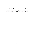I cannot imagine a better description of what one should shamelessly call a non-alienated, decent life, and I hope that something of this attitude will survive when the pandemic passes.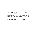Slavoj Žižek is one of the most prolific and well-known philosophers and cultural theorists in the world today. His inventive, provocative body of work mixes Hegelian metaphysics, Lacanian psychoanalysis, and Marxist dialectic in order to challenge conventional wisdom and accepted verities on both the Left and the Right.